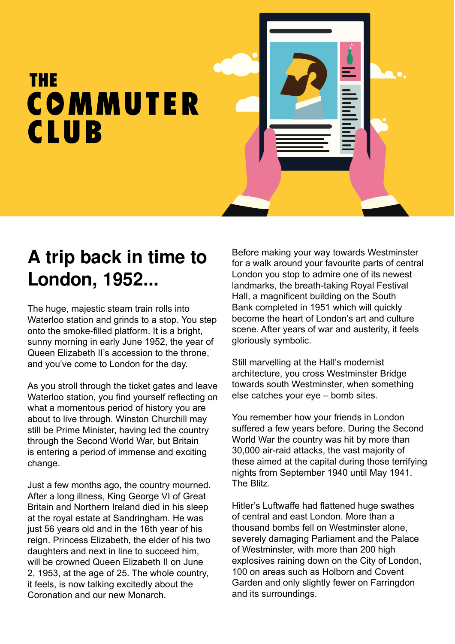## THE COMMUTER **CLUB**

## **A trip back in time to London, 1952...**

The huge, majestic steam train rolls into Waterloo station and grinds to a stop. You step onto the smoke-filled platform. It is a bright, sunny morning in early June 1952, the year of Queen Elizabeth II's accession to the throne, and you've come to London for the day.

As you stroll through the ticket gates and leave Waterloo station, you find yourself reflecting on what a momentous period of history you are about to live through. Winston Churchill may still be Prime Minister, having led the country through the Second World War, but Britain is entering a period of immense and exciting change.

Just a few months ago, the country mourned. After a long illness, King George VI of Great Britain and Northern Ireland died in his sleep at the royal estate at Sandringham. He was just 56 years old and in the 16th year of his reign. Princess Elizabeth, the elder of his two daughters and next in line to succeed him, will be crowned Queen Elizabeth II on June 2, 1953, at the age of 25. The whole country, it feels, is now talking excitedly about the Coronation and our new Monarch.

Before making your way towards Westminster for a walk around your favourite parts of central London you stop to admire one of its newest landmarks, the breath-taking Royal Festival Hall, a magnificent building on the South Bank completed in 1951 which will quickly become the heart of London's art and culture scene. After years of war and austerity, it feels gloriously symbolic.

Still marvelling at the Hall's modernist architecture, you cross Westminster Bridge towards south Westminster, when something else catches your eye – bomb sites.

You remember how your friends in London suffered a few years before. During the Second World War the country was hit by more than 30,000 air-raid attacks, the vast majority of these aimed at the capital during those terrifying nights from September 1940 until May 1941. The Blitz.

Hitler's Luftwaffe had flattened huge swathes of central and east London. More than a thousand bombs fell on Westminster alone, severely damaging Parliament and the Palace of Westminster, with more than 200 high explosives raining down on the City of London, 100 on areas such as Holborn and Covent Garden and only slightly fewer on Farringdon and its surroundings.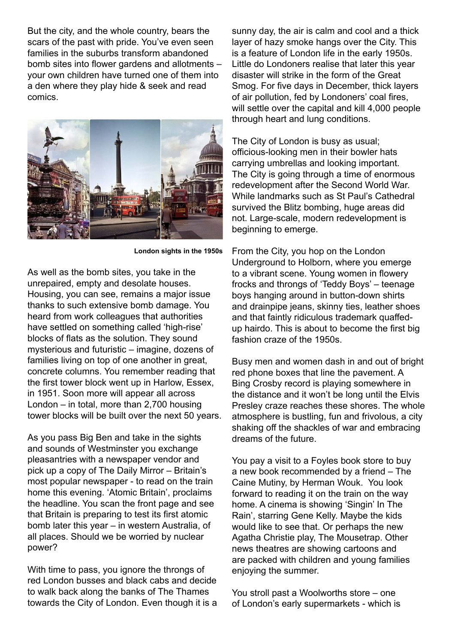But the city, and the whole country, bears the scars of the past with pride. You've even seen families in the suburbs transform abandoned bomb sites into flower gardens and allotments – your own children have turned one of them into a den where they play hide & seek and read comics.



**London sights in the 1950s**

As well as the bomb sites, you take in the unrepaired, empty and desolate houses. Housing, you can see, remains a major issue thanks to such extensive bomb damage. You heard from work colleagues that authorities have settled on something called 'high-rise' blocks of flats as the solution. They sound mysterious and futuristic – imagine, dozens of families living on top of one another in great, concrete columns. You remember reading that the first tower block went up in Harlow, Essex, in 1951. Soon more will appear all across London – in total, more than 2,700 housing tower blocks will be built over the next 50 years.

As you pass Big Ben and take in the sights and sounds of Westminster you exchange pleasantries with a newspaper vendor and pick up a copy of The Daily Mirror – Britain's most popular newspaper - to read on the train home this evening. 'Atomic Britain', proclaims the headline. You scan the front page and see that Britain is preparing to test its first atomic bomb later this year – in western Australia, of all places. Should we be worried by nuclear power?

With time to pass, you ignore the throngs of red London busses and black cabs and decide to walk back along the banks of The Thames towards the City of London. Even though it is a sunny day, the air is calm and cool and a thick layer of hazy smoke hangs over the City. This is a feature of London life in the early 1950s. Little do Londoners realise that later this year disaster will strike in the form of the Great Smog. For five days in December, thick layers of air pollution, fed by Londoners' coal fires, will settle over the capital and kill 4,000 people through heart and lung conditions.

The City of London is busy as usual; officious-looking men in their bowler hats carrying umbrellas and looking important. The City is going through a time of enormous redevelopment after the Second World War. While landmarks such as St Paul's Cathedral survived the Blitz bombing, huge areas did not. Large-scale, modern redevelopment is beginning to emerge.

From the City, you hop on the London Underground to Holborn, where you emerge to a vibrant scene. Young women in flowery frocks and throngs of 'Teddy Boys' – teenage boys hanging around in button-down shirts and drainpipe jeans, skinny ties, leather shoes and that faintly ridiculous trademark quaffedup hairdo. This is about to become the first big fashion craze of the 1950s.

Busy men and women dash in and out of bright red phone boxes that line the pavement. A Bing Crosby record is playing somewhere in the distance and it won't be long until the Elvis Presley craze reaches these shores. The whole atmosphere is bustling, fun and frivolous, a city shaking off the shackles of war and embracing dreams of the future.

You pay a visit to a Foyles book store to buy a new book recommended by a friend – The Caine Mutiny, by Herman Wouk. You look forward to reading it on the train on the way home. A cinema is showing 'Singin' In The Rain', starring Gene Kelly. Maybe the kids would like to see that. Or perhaps the new Agatha Christie play, The Mousetrap. Other news theatres are showing cartoons and are packed with children and young families enjoying the summer.

You stroll past a Woolworths store – one of London's early supermarkets - which is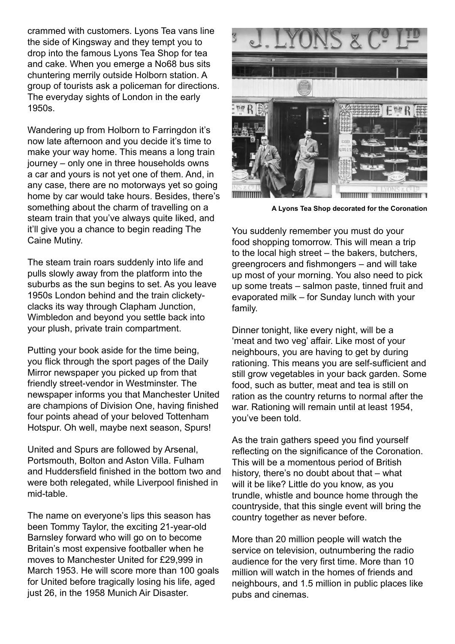crammed with customers. Lyons Tea vans line the side of Kingsway and they tempt you to drop into the famous Lyons Tea Shop for tea and cake. When you emerge a No68 bus sits chuntering merrily outside Holborn station. A group of tourists ask a policeman for directions. The everyday sights of London in the early 1950s.

Wandering up from Holborn to Farringdon it's now late afternoon and you decide it's time to make your way home. This means a long train journey – only one in three households owns a car and yours is not yet one of them. And, in any case, there are no motorways yet so going home by car would take hours. Besides, there's something about the charm of travelling on a steam train that you've always quite liked, and it'll give you a chance to begin reading The Caine Mutiny.

The steam train roars suddenly into life and pulls slowly away from the platform into the suburbs as the sun begins to set. As you leave 1950s London behind and the train clicketyclacks its way through Clapham Junction, Wimbledon and beyond you settle back into your plush, private train compartment.

Putting your book aside for the time being, you flick through the sport pages of the Daily Mirror newspaper you picked up from that friendly street-vendor in Westminster. The newspaper informs you that Manchester United are champions of Division One, having finished four points ahead of your beloved Tottenham Hotspur. Oh well, maybe next season, Spurs!

United and Spurs are followed by Arsenal, Portsmouth, Bolton and Aston Villa. Fulham and Huddersfield finished in the bottom two and were both relegated, while Liverpool finished in mid-table.

The name on everyone's lips this season has been Tommy Taylor, the exciting 21-year-old Barnsley forward who will go on to become Britain's most expensive footballer when he moves to Manchester United for £29,999 in March 1953. He will score more than 100 goals for United before tragically losing his life, aged just 26, in the 1958 Munich Air Disaster.



**A Lyons Tea Shop decorated for the Coronation**

You suddenly remember you must do your food shopping tomorrow. This will mean a trip to the local high street – the bakers, butchers, greengrocers and fishmongers – and will take up most of your morning. You also need to pick up some treats – salmon paste, tinned fruit and evaporated milk – for Sunday lunch with your family.

Dinner tonight, like every night, will be a 'meat and two veg' affair. Like most of your neighbours, you are having to get by during rationing. This means you are self-sufficient and still grow vegetables in your back garden. Some food, such as butter, meat and tea is still on ration as the country returns to normal after the war. Rationing will remain until at least 1954, you've been told.

As the train gathers speed you find yourself reflecting on the significance of the Coronation. This will be a momentous period of British history, there's no doubt about that – what will it be like? Little do you know, as you trundle, whistle and bounce home through the countryside, that this single event will bring the country together as never before.

More than 20 million people will watch the service on television, outnumbering the radio audience for the very first time. More than 10 million will watch in the homes of friends and neighbours, and 1.5 million in public places like pubs and cinemas.